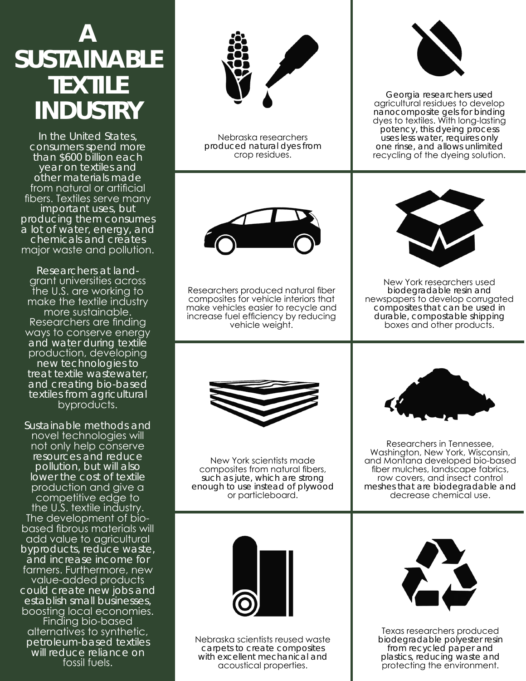## **A SUSTAINABLE TEXTILE INDUSTRY**

In the United States, consumers spend more than \$600 billion each year on textiles and other materials made from natural or artificial fibers. Textiles serve many important uses, but producing them consumes a lot of water, energy, and chemicals and creates major waste and pollution.

Researchers at landgrant universities across the U.S. are working to make the textile industry more sustainable. Researchers are finding ways to conserve energy and water during textile production, developing new technologies to treat textile wastewater, and creating bio-based textiles from agricultural byproducts.

Sustainable methods and novel technologies will not only help conserve resources and reduce pollution, but will also lower the cost of textile production and give a competitive edge to the U.S. textile industry. The development of biobased fibrous materials will add value to agricultural byproducts, reduce waste, and increase income for farmers. Furthermore, new value-added products could create new jobs and establish small businesses, boosting local economies. Finding bio-based alternatives to synthetic, petroleum-based textiles will reduce reliance on fossil fuels.



Nebraska researchers produced natural dyes from crop residues.



Researchers produced natural fiber composites for vehicle interiors that make vehicles easier to recycle and increase fuel efficiency by reducing vehicle weight.



New York scientists made composites from natural fibers, such as jute, which are strong enough to use instead of plywood or particleboard.



Georgia researchers used agricultural residues to develop nanocomposite gels for binding dyes to textiles. With long-lasting potency, this dyeing process uses less water, requires only one rinse, and allows unlimited recycling of the dyeing solution.



New York researchers used biodegradable resin and newspapers to develop corrugated composites that can be used in durable, compostable shipping boxes and other products.



Researchers in Tennessee, Washington, New York, Wisconsin, and Montana developed bio-based fiber mulches, landscape fabrics, row covers, and insect control meshes that are biodegradable and decrease chemical use.



Nebraska scientists reused waste carpets to create composites with excellent mechanical and acoustical properties.



Texas researchers produced biodegradable polyester resin from recycled paper and plastics, reducing waste and protecting the environment.